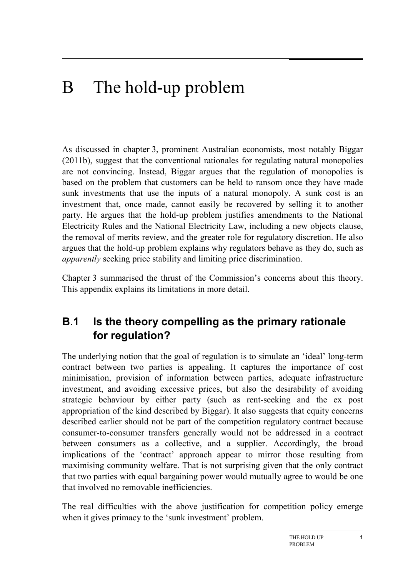# B The hold-up problem

As discussed in chapter 3, prominent Australian economists, most notably Biggar (2011b), suggest that the conventional rationales for regulating natural monopolies are not convincing. Instead, Biggar argues that the regulation of monopolies is based on the problem that customers can be held to ransom once they have made sunk investments that use the inputs of a natural monopoly. A sunk cost is an investment that, once made, cannot easily be recovered by selling it to another party. He argues that the hold-up problem justifies amendments to the National Electricity Rules and the National Electricity Law, including a new objects clause, the removal of merits review, and the greater role for regulatory discretion. He also argues that the hold-up problem explains why regulators behave as they do, such as *apparently* seeking price stability and limiting price discrimination.

Chapter 3 summarised the thrust of the Commission's concerns about this theory. This appendix explains its limitations in more detail.

# **B.1 Is the theory compelling as the primary rationale for regulation?**

The underlying notion that the goal of regulation is to simulate an 'ideal' long-term contract between two parties is appealing. It captures the importance of cost minimisation, provision of information between parties, adequate infrastructure investment, and avoiding excessive prices, but also the desirability of avoiding strategic behaviour by either party (such as rent-seeking and the ex post appropriation of the kind described by Biggar). It also suggests that equity concerns described earlier should not be part of the competition regulatory contract because consumer-to-consumer transfers generally would not be addressed in a contract between consumers as a collective, and a supplier. Accordingly, the broad implications of the 'contract' approach appear to mirror those resulting from maximising community welfare. That is not surprising given that the only contract that two parties with equal bargaining power would mutually agree to would be one that involved no removable inefficiencies.

The real difficulties with the above justification for competition policy emerge when it gives primacy to the 'sunk investment' problem.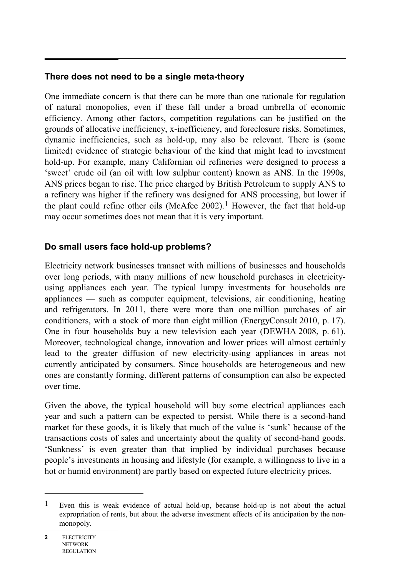#### **There does not need to be a single meta-theory**

One immediate concern is that there can be more than one rationale for regulation of natural monopolies, even if these fall under a broad umbrella of economic efficiency. Among other factors, competition regulations can be justified on the grounds of allocative inefficiency, x-inefficiency, and foreclosure risks. Sometimes, dynamic inefficiencies, such as hold-up, may also be relevant. There is (some limited) evidence of strategic behaviour of the kind that might lead to investment hold-up. For example, many Californian oil refineries were designed to process a 'sweet' crude oil (an oil with low sulphur content) known as ANS. In the 1990s, ANS prices began to rise. The price charged by British Petroleum to supply ANS to a refinery was higher if the refinery was designed for ANS processing, but lower if the plant could refine other oils (McAfee 2002).<sup>1</sup> However, the fact that hold-up may occur sometimes does not mean that it is very important.

#### **Do small users face hold-up problems?**

Electricity network businesses transact with millions of businesses and households over long periods, with many millions of new household purchases in electricityusing appliances each year. The typical lumpy investments for households are appliances — such as computer equipment, televisions, air conditioning, heating and refrigerators. In 2011, there were more than one million purchases of air conditioners, with a stock of more than eight million (EnergyConsult 2010, p. 17). One in four households buy a new television each year (DEWHA 2008, p. 61). Moreover, technological change, innovation and lower prices will almost certainly lead to the greater diffusion of new electricity-using appliances in areas not currently anticipated by consumers. Since households are heterogeneous and new ones are constantly forming, different patterns of consumption can also be expected over time.

Given the above, the typical household will buy some electrical appliances each year and such a pattern can be expected to persist. While there is a second-hand market for these goods, it is likely that much of the value is 'sunk' because of the transactions costs of sales and uncertainty about the quality of second-hand goods. 'Sunkness' is even greater than that implied by individual purchases because people's investments in housing and lifestyle (for example, a willingness to live in a hot or humid environment) are partly based on expected future electricity prices.

 $\overline{a}$ 

<sup>1</sup> Even this is weak evidence of actual hold-up, because hold-up is not about the actual expropriation of rents, but about the adverse investment effects of its anticipation by the nonmonopoly.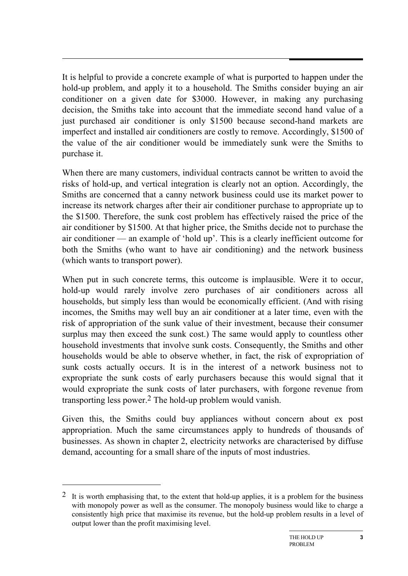It is helpful to provide a concrete example of what is purported to happen under the hold-up problem, and apply it to a household. The Smiths consider buying an air conditioner on a given date for \$3000. However, in making any purchasing decision, the Smiths take into account that the immediate second hand value of a just purchased air conditioner is only \$1500 because second-hand markets are imperfect and installed air conditioners are costly to remove. Accordingly, \$1500 of the value of the air conditioner would be immediately sunk were the Smiths to purchase it.

When there are many customers, individual contracts cannot be written to avoid the risks of hold-up, and vertical integration is clearly not an option. Accordingly, the Smiths are concerned that a canny network business could use its market power to increase its network charges after their air conditioner purchase to appropriate up to the \$1500. Therefore, the sunk cost problem has effectively raised the price of the air conditioner by \$1500. At that higher price, the Smiths decide not to purchase the air conditioner — an example of 'hold up'. This is a clearly inefficient outcome for both the Smiths (who want to have air conditioning) and the network business (which wants to transport power).

When put in such concrete terms, this outcome is implausible. Were it to occur, hold-up would rarely involve zero purchases of air conditioners across all households, but simply less than would be economically efficient. (And with rising incomes, the Smiths may well buy an air conditioner at a later time, even with the risk of appropriation of the sunk value of their investment, because their consumer surplus may then exceed the sunk cost.) The same would apply to countless other household investments that involve sunk costs. Consequently, the Smiths and other households would be able to observe whether, in fact, the risk of expropriation of sunk costs actually occurs. It is in the interest of a network business not to expropriate the sunk costs of early purchasers because this would signal that it would expropriate the sunk costs of later purchasers, with forgone revenue from transporting less power.2 The hold-up problem would vanish.

Given this, the Smiths could buy appliances without concern about ex post appropriation. Much the same circumstances apply to hundreds of thousands of businesses. As shown in chapter 2, electricity networks are characterised by diffuse demand, accounting for a small share of the inputs of most industries.

-

<sup>&</sup>lt;sup>2</sup> It is worth emphasising that, to the extent that hold-up applies, it is a problem for the business with monopoly power as well as the consumer. The monopoly business would like to charge a consistently high price that maximise its revenue, but the hold-up problem results in a level of output lower than the profit maximising level.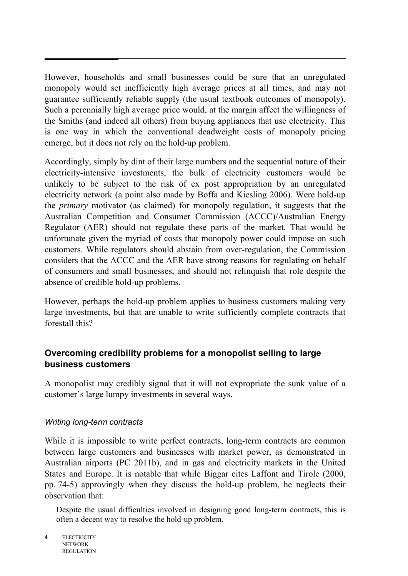However, households and small businesses could be sure that an unregulated monopoly would set inefficiently high average prices at all times, and may not guarantee sufficiently reliable supply (the usual textbook outcomes of monopoly). Such a perennially high average price would, at the margin affect the willingness of the Smiths (and indeed all others) from buying appliances that use electricity. This is one way in which the conventional deadweight costs of monopoly pricing emerge, but it does not rely on the hold-up problem.

Accordingly, simply by dint of their large numbers and the sequential nature of their electricity-intensive investments, the bulk of electricity customers would be unlikely to be subject to the risk of ex post appropriation by an unregulated electricity network (a point also made by Boffa and Kiesling 2006). Were hold-up the *primary* motivator (as claimed) for monopoly regulation, it suggests that the Australian Competition and Consumer Commission (ACCC)/Australian Energy Regulator (AER) should not regulate these parts of the market. That would be unfortunate given the myriad of costs that monopoly power could impose on such customers. While regulators should abstain from over-regulation, the Commission considers that the ACCC and the AER have strong reasons for regulating on behalf of consumers and small businesses, and should not relinquish that role despite the absence of credible hold-up problems.

However, perhaps the hold-up problem applies to business customers making very large investments, but that are unable to write sufficiently complete contracts that forestall this?

# **Overcoming credibility problems for a monopolist selling to large business customers**

A monopolist may credibly signal that it will not expropriate the sunk value of a customer's large lumpy investments in several ways.

#### *Writing long-term contracts*

While it is impossible to write perfect contracts, long-term contracts are common between large customers and businesses with market power, as demonstrated in Australian airports (PC 2011b), and in gas and electricity markets in the United States and Europe. It is notable that while Biggar cites Laffont and Tirole (2000, pp. 74-5) approvingly when they discuss the hold-up problem, he neglects their observation that:

Despite the usual difficulties involved in designing good long-term contracts, this is often a decent way to resolve the hold-up problem.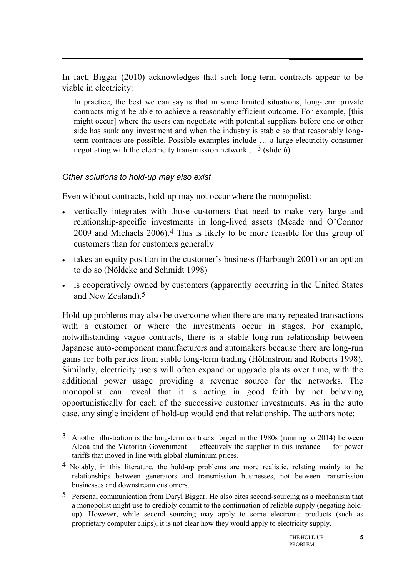In fact, Biggar (2010) acknowledges that such long-term contracts appear to be viable in electricity:

In practice, the best we can say is that in some limited situations, long-term private contracts might be able to achieve a reasonably efficient outcome. For example, [this might occur] where the users can negotiate with potential suppliers before one or other side has sunk any investment and when the industry is stable so that reasonably longterm contracts are possible. Possible examples include … a large electricity consumer negotiating with the electricity transmission network  $\ldots$ <sup>3</sup> (slide 6)

#### *Other solutions to hold-up may also exist*

-

Even without contracts, hold-up may not occur where the monopolist:

- vertically integrates with those customers that need to make very large and relationship-specific investments in long-lived assets (Meade and O'Connor 2009 and Michaels 2006).4 This is likely to be more feasible for this group of customers than for customers generally
- takes an equity position in the customer's business (Harbaugh 2001) or an option to do so (Nöldeke and Schmidt 1998)
- is cooperatively owned by customers (apparently occurring in the United States and New Zealand).5

Hold-up problems may also be overcome when there are many repeated transactions with a customer or where the investments occur in stages. For example, notwithstanding vague contracts, there is a stable long-run relationship between Japanese auto-component manufacturers and automakers because there are long-run gains for both parties from stable long-term trading (Hölmstrom and Roberts 1998). Similarly, electricity users will often expand or upgrade plants over time, with the additional power usage providing a revenue source for the networks. The monopolist can reveal that it is acting in good faith by not behaving opportunistically for each of the successive customer investments. As in the auto case, any single incident of hold-up would end that relationship. The authors note:

<sup>3</sup> Another illustration is the long-term contracts forged in the 1980s (running to 2014) between Alcoa and the Victorian Government — effectively the supplier in this instance — for power tariffs that moved in line with global aluminium prices.

<sup>4</sup> Notably, in this literature, the hold-up problems are more realistic, relating mainly to the relationships between generators and transmission businesses, not between transmission businesses and downstream customers.

<sup>5</sup> Personal communication from Daryl Biggar. He also cites second-sourcing as a mechanism that a monopolist might use to credibly commit to the continuation of reliable supply (negating holdup). However, while second sourcing may apply to some electronic products (such as proprietary computer chips), it is not clear how they would apply to electricity supply.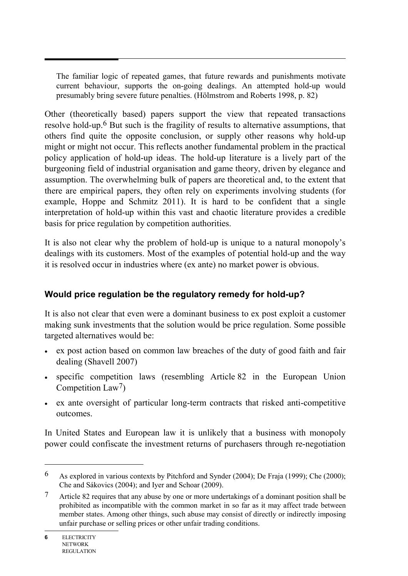The familiar logic of repeated games, that future rewards and punishments motivate current behaviour, supports the on-going dealings. An attempted hold-up would presumably bring severe future penalties. (Hölmstrom and Roberts 1998, p. 82)

Other (theoretically based) papers support the view that repeated transactions resolve hold-up.6 But such is the fragility of results to alternative assumptions, that others find quite the opposite conclusion, or supply other reasons why hold-up might or might not occur. This reflects another fundamental problem in the practical policy application of hold-up ideas. The hold-up literature is a lively part of the burgeoning field of industrial organisation and game theory, driven by elegance and assumption. The overwhelming bulk of papers are theoretical and, to the extent that there are empirical papers, they often rely on experiments involving students (for example, Hoppe and Schmitz 2011). It is hard to be confident that a single interpretation of hold-up within this vast and chaotic literature provides a credible basis for price regulation by competition authorities.

It is also not clear why the problem of hold-up is unique to a natural monopoly's dealings with its customers. Most of the examples of potential hold-up and the way it is resolved occur in industries where (ex ante) no market power is obvious.

# **Would price regulation be the regulatory remedy for hold-up?**

It is also not clear that even were a dominant business to ex post exploit a customer making sunk investments that the solution would be price regulation. Some possible targeted alternatives would be:

- ex post action based on common law breaches of the duty of good faith and fair dealing (Shavell 2007)
- specific competition laws (resembling Article 82 in the European Union Competition Law7)
- ex ante oversight of particular long-term contracts that risked anti-competitive outcomes.

In United States and European law it is unlikely that a business with monopoly power could confiscate the investment returns of purchasers through re-negotiation

 $\overline{a}$ 

<sup>6</sup> As explored in various contexts by Pitchford and Synder (2004); De Fraja (1999); Che (2000); Che and Sákovics (2004); and Iyer and Schoar (2009).

<sup>7</sup> Article 82 requires that any abuse by one or more undertakings of a dominant position shall be prohibited as incompatible with the common market in so far as it may affect trade between member states. Among other things, such abuse may consist of directly or indirectly imposing unfair purchase or selling prices or other unfair trading conditions.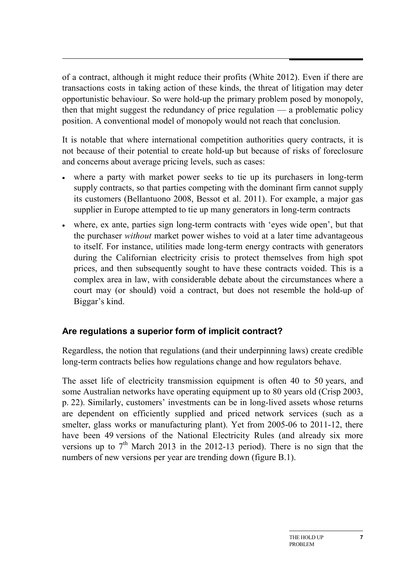of a contract, although it might reduce their profits (White 2012). Even if there are transactions costs in taking action of these kinds, the threat of litigation may deter opportunistic behaviour. So were hold-up the primary problem posed by monopoly, then that might suggest the redundancy of price regulation — a problematic policy position. A conventional model of monopoly would not reach that conclusion.

It is notable that where international competition authorities query contracts, it is not because of their potential to create hold-up but because of risks of foreclosure and concerns about average pricing levels, such as cases:

- where a party with market power seeks to tie up its purchasers in long-term supply contracts, so that parties competing with the dominant firm cannot supply its customers (Bellantuono 2008, Bessot et al. 2011). For example, a major gas supplier in Europe attempted to tie up many generators in long-term contracts
- where, ex ante, parties sign long-term contracts with 'eyes wide open', but that the purchaser *without* market power wishes to void at a later time advantageous to itself. For instance, utilities made long-term energy contracts with generators during the Californian electricity crisis to protect themselves from high spot prices, and then subsequently sought to have these contracts voided. This is a complex area in law, with considerable debate about the circumstances where a court may (or should) void a contract, but does not resemble the hold-up of Biggar's kind.

#### **Are regulations a superior form of implicit contract?**

Regardless, the notion that regulations (and their underpinning laws) create credible long-term contracts belies how regulations change and how regulators behave.

The asset life of electricity transmission equipment is often 40 to 50 years, and some Australian networks have operating equipment up to 80 years old (Crisp 2003, p. 22). Similarly, customers' investments can be in long-lived assets whose returns are dependent on efficiently supplied and priced network services (such as a smelter, glass works or manufacturing plant). Yet from 2005-06 to 2011-12, there have been 49 versions of the National Electricity Rules (and already six more versions up to  $7<sup>th</sup>$  March 2013 in the 2012-13 period). There is no sign that the numbers of new versions per year are trending down (figure B.1).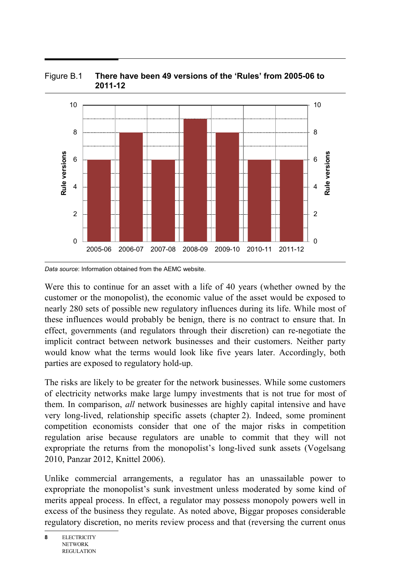

Figure B.1 **There have been 49 versions of the 'Rules' from 2005-06 to 2011-12**

*Data source*: Information obtained from the AEMC website.

Were this to continue for an asset with a life of 40 years (whether owned by the customer or the monopolist), the economic value of the asset would be exposed to nearly 280 sets of possible new regulatory influences during its life. While most of these influences would probably be benign, there is no contract to ensure that. In effect, governments (and regulators through their discretion) can re-negotiate the implicit contract between network businesses and their customers. Neither party would know what the terms would look like five years later. Accordingly, both parties are exposed to regulatory hold-up.

The risks are likely to be greater for the network businesses. While some customers of electricity networks make large lumpy investments that is not true for most of them. In comparison, *all* network businesses are highly capital intensive and have very long-lived, relationship specific assets (chapter 2). Indeed, some prominent competition economists consider that one of the major risks in competition regulation arise because regulators are unable to commit that they will not expropriate the returns from the monopolist's long-lived sunk assets (Vogelsang 2010, Panzar 2012, Knittel 2006).

Unlike commercial arrangements, a regulator has an unassailable power to expropriate the monopolist's sunk investment unless moderated by some kind of merits appeal process. In effect, a regulator may possess monopoly powers well in excess of the business they regulate. As noted above, Biggar proposes considerable regulatory discretion, no merits review process and that (reversing the current onus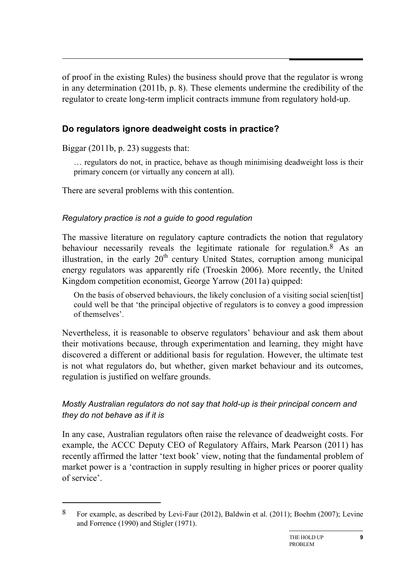of proof in the existing Rules) the business should prove that the regulator is wrong in any determination (2011b, p. 8). These elements undermine the credibility of the regulator to create long-term implicit contracts immune from regulatory hold-up.

# **Do regulators ignore deadweight costs in practice?**

Biggar (2011b, p. 23) suggests that:

-

… regulators do not, in practice, behave as though minimising deadweight loss is their primary concern (or virtually any concern at all).

There are several problems with this contention.

# *Regulatory practice is not a guide to good regulation*

The massive literature on regulatory capture contradicts the notion that regulatory behaviour necessarily reveals the legitimate rationale for regulation.8 As an illustration, in the early  $20<sup>th</sup>$  century United States, corruption among municipal energy regulators was apparently rife (Troeskin 2006). More recently, the United Kingdom competition economist, George Yarrow (2011a) quipped:

On the basis of observed behaviours, the likely conclusion of a visiting social scien[tist] could well be that 'the principal objective of regulators is to convey a good impression of themselves'.

Nevertheless, it is reasonable to observe regulators' behaviour and ask them about their motivations because, through experimentation and learning, they might have discovered a different or additional basis for regulation. However, the ultimate test is not what regulators do, but whether, given market behaviour and its outcomes, regulation is justified on welfare grounds.

# *Mostly Australian regulators do not say that hold-up is their principal concern and they do not behave as if it is*

In any case, Australian regulators often raise the relevance of deadweight costs. For example, the ACCC Deputy CEO of Regulatory Affairs, Mark Pearson (2011) has recently affirmed the latter 'text book' view, noting that the fundamental problem of market power is a 'contraction in supply resulting in higher prices or poorer quality of service'.

<sup>8</sup> For example, as described by Levi-Faur (2012), Baldwin et al. (2011); Boehm (2007); Levine and Forrence (1990) and Stigler (1971).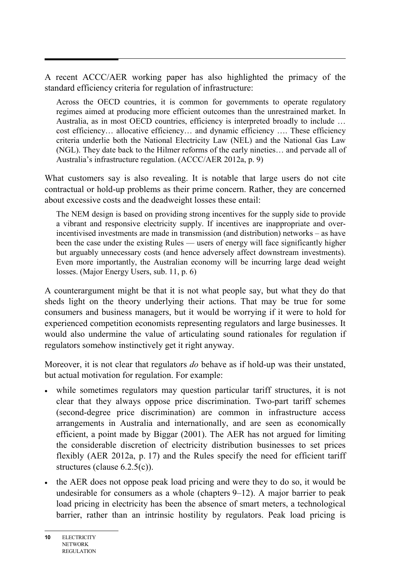A recent ACCC/AER working paper has also highlighted the primacy of the standard efficiency criteria for regulation of infrastructure:

Across the OECD countries, it is common for governments to operate regulatory regimes aimed at producing more efficient outcomes than the unrestrained market. In Australia, as in most OECD countries, efficiency is interpreted broadly to include … cost efficiency… allocative efficiency… and dynamic efficiency …. These efficiency criteria underlie both the National Electricity Law (NEL) and the National Gas Law (NGL). They date back to the Hilmer reforms of the early nineties… and pervade all of Australia's infrastructure regulation. (ACCC/AER 2012a, p. 9)

What customers say is also revealing. It is notable that large users do not cite contractual or hold-up problems as their prime concern. Rather, they are concerned about excessive costs and the deadweight losses these entail:

The NEM design is based on providing strong incentives for the supply side to provide a vibrant and responsive electricity supply. If incentives are inappropriate and overincentivised investments are made in transmission (and distribution) networks – as have been the case under the existing Rules — users of energy will face significantly higher but arguably unnecessary costs (and hence adversely affect downstream investments). Even more importantly, the Australian economy will be incurring large dead weight losses. (Major Energy Users, sub. 11, p. 6)

A counterargument might be that it is not what people say, but what they do that sheds light on the theory underlying their actions. That may be true for some consumers and business managers, but it would be worrying if it were to hold for experienced competition economists representing regulators and large businesses. It would also undermine the value of articulating sound rationales for regulation if regulators somehow instinctively get it right anyway.

Moreover, it is not clear that regulators *do* behave as if hold-up was their unstated, but actual motivation for regulation. For example:

- while sometimes regulators may question particular tariff structures, it is not clear that they always oppose price discrimination. Two-part tariff schemes (second-degree price discrimination) are common in infrastructure access arrangements in Australia and internationally, and are seen as economically efficient, a point made by Biggar (2001). The AER has not argued for limiting the considerable discretion of electricity distribution businesses to set prices flexibly (AER 2012a, p. 17) and the Rules specify the need for efficient tariff structures (clause 6.2.5(c)).
- the AER does not oppose peak load pricing and were they to do so, it would be undesirable for consumers as a whole (chapters 9–12). A major barrier to peak load pricing in electricity has been the absence of smart meters, a technological barrier, rather than an intrinsic hostility by regulators. Peak load pricing is